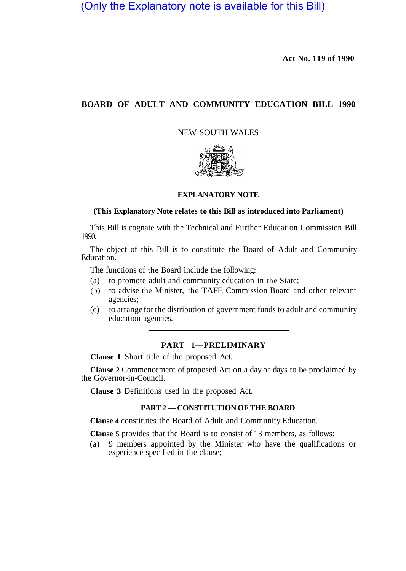(Only the Explanatory note is available for this Bill)

**Act No. 119 of 1990** 

# **BOARD OF ADULT AND COMMUNITY EDUCATION BILL 1990**

NEW SOUTH WALES



#### **EXPLANATORY NOTE**

#### **(This Explanatory Note relates to this Bill as introduced into Parliament)**

This Bill is cognate with the Technical and Further Education Commission Bill 1990.

The object of this Bill is to constitute the Board of Adult and Community Education<sup>®</sup>

The functions of the Board include the following:

- (a) to promote adult and community education in the State;
- (b) to advise the Minister, the TAFE Commission Board and other relevant agencies;
- (c) to arrange for the distribution of government funds to adult and community education agencies.

### **PART 1—PRELIMINARY**

**Clause 1** Short title of the proposed Act.

**Clause 2** Commencement of proposed Act on a day or days to be proclaimed by the Governor-in-Council.

**Clause 3** Definitions used in the proposed Act.

## **PART 2 — CONSTITUTION OF THE BOARD**

**Clause 4** constitutes the Board of Adult and Community Education.

**Clause 5** provides that the Board is to consist of 13 members, as follows:

(a) 9 members appointed by the Minister who have the qualifications or experience specified in the clause;